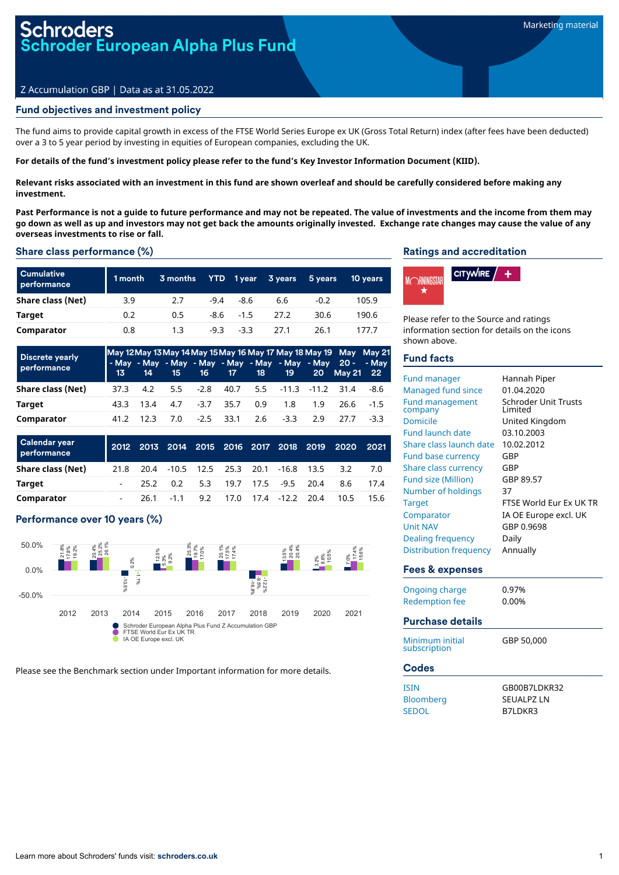# **oders** oder European Alpha Plus Fund

# Z Accumulation GBP | Data as at 31.05.2022

# Fund objectives and investment policy

The fund aims to provide capital growth in excess of the FTSE World Series Europe ex UK (Gross Total Return) index (after fees have been deducted) over a 3 to 5 year period by investing in equities of European companies, excluding the UK.

#### For details of the fund's investment policy please refer to the fund's Key Investor Information Document (KIID).

Relevant risks associated with an investment in this fund are shown overleaf and should be carefully considered before making any **investment.**

Past Performance is not a quide to future performance and may not be repeated. The value of investments and the income from them may go down as well as up and investors may not get back the amounts originally invested. Exchange rate changes may cause the value of any **overseas investments to rise or fall.**

#### Share class performance (%)

| <b>Cumulative</b><br>performance | 1 month | 3 months | <b>YTD</b> | 1 year       | 3 years | 5 years | <b>10 years</b> |
|----------------------------------|---------|----------|------------|--------------|---------|---------|-----------------|
| Share class (Net)                | 3.9     | 2.7      | $-9.4$     | -8.6         | 6.6     | $-0.2$  | 105.9           |
| Target                           | 0.2     | 0.5      |            | $-8.6 - 1.5$ | 27.2    | 30.6    | 190.6           |
| Comparator                       | 0.8     | 1.3      | $-9.3$     | $-3.3$       | 27.1    | 26.1    | 177.7           |

| <b>Discrete yearly</b><br>performance |      |           |  |                       |                        |     | May 12 May 13 May 14 May 15 May 16 May 17 May 18 May 19 May May 21<br>- May - May - May - May - May - May - May - May 20 - - May<br>13 14 15 16 17 18 19 20 May 21 22 |     |
|---------------------------------------|------|-----------|--|-----------------------|------------------------|-----|-----------------------------------------------------------------------------------------------------------------------------------------------------------------------|-----|
| Share class (Net)                     | 37.3 | 4.2       |  |                       |                        |     | 5.5 -2.8 40.7 5.5 -11.3 -11.2 31.4 -8.6                                                                                                                               |     |
| Target                                |      | 43.3 13.4 |  | 4.7 -3.7 35.7 0.9 1.8 |                        | 19  | 26.6 - 1.5                                                                                                                                                            |     |
| Comparator                            |      | 412 123   |  |                       | 7.0 -2.5 33.1 2.6 -3.3 | 2.9 | 27 Z                                                                                                                                                                  | -33 |

| Calendar year<br>performance |      |                                          |  |  | 2012 2013 2014 2015 2016 2017 2018 2019 2020 2021 |      |
|------------------------------|------|------------------------------------------|--|--|---------------------------------------------------|------|
| Share class (Net)            | 21.8 | 20.4 -10.5 12.5 25.3 20.1 -16.8 13.5 3.2 |  |  |                                                   | 7.0  |
| Target                       |      | 25.2 0.2 5.3 19.7 17.5 -9.5 20.4         |  |  | 8.6                                               | 17.4 |
| Comparator                   |      | 26.1 -1.1 9.2 17.0 17.4 -12.2 20.4       |  |  | 10.5                                              | 15.6 |

# Performance over 10 years (%)



Please see the Benchmark section under Important information for more details.

#### Ratings and accreditation



Please refer to the Source and ratings information section for details on the icons shown above.

# Fund facts

| <b>Fund manager</b><br><b>Managed fund since</b><br><b>Fund management</b><br>company<br>Domicile<br><b>Fund launch date</b><br>Share class launch date<br><b>Fund base currency</b><br>Share class currency<br><b>Fund size (Million)</b><br>Number of holdings<br><b>Target</b><br>Comparator<br><b>Unit NAV</b><br>Dealing frequency | Hannah Piper<br>01.04.2020<br><b>Schroder Unit Trusts</b><br>I imited<br>United Kingdom<br>03.10.2003<br>10.02.2012<br>GBP<br>GBP<br>GBP 89.57<br>37<br>FTSE World Eur Ex UK TR<br>IA OE Europe excl. UK<br>GBP 0.9698<br>Daily |
|-----------------------------------------------------------------------------------------------------------------------------------------------------------------------------------------------------------------------------------------------------------------------------------------------------------------------------------------|---------------------------------------------------------------------------------------------------------------------------------------------------------------------------------------------------------------------------------|
| <b>Distribution frequency</b><br><b>Fees &amp; expenses</b>                                                                                                                                                                                                                                                                             | Annually                                                                                                                                                                                                                        |
|                                                                                                                                                                                                                                                                                                                                         | 0.97%                                                                                                                                                                                                                           |
| <b>Ongoing charge</b><br><b>Redemption fee</b>                                                                                                                                                                                                                                                                                          | 0.00%                                                                                                                                                                                                                           |
| <b>Purchase details</b>                                                                                                                                                                                                                                                                                                                 |                                                                                                                                                                                                                                 |
| Minimum initial<br>subscription                                                                                                                                                                                                                                                                                                         | GBP 50,000                                                                                                                                                                                                                      |
| <b>Codes</b>                                                                                                                                                                                                                                                                                                                            |                                                                                                                                                                                                                                 |
| <b>ISIN</b><br>Bloomberg<br><b>SEDOL</b>                                                                                                                                                                                                                                                                                                | GB00B7LDKR32<br><b>SEUALPZ LN</b><br>B7LDKR3                                                                                                                                                                                    |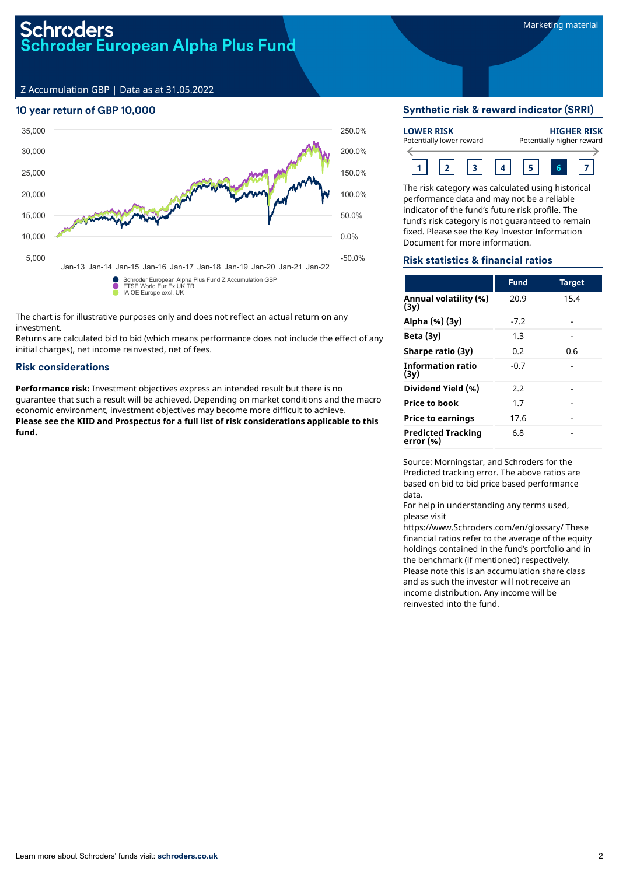# Schroders **Schroder European Alpha Plus Fund<br>Schroder European Alpha Plus Fund**

Z Accumulation GBP | Data as at 31.05.2022

# 10 year return of GBP 10,000



The chart is for illustrative purposes only and does not reflect an actual return on any investment.

Returns are calculated bid to bid (which means performance does not include the effect of any initial charges), net income reinvested, net of fees.

# Risk considerations

**Performance risk:** Investment objectives express an intended result but there is no guarantee that such a result will be achieved. Depending on market conditions and the macro economic environment, investment objectives may become more difficult to achieve. **Please see the KIID and Prospectus for a full list of risk considerations applicable to this fund.**

# Synthetic risk & reward indicator (SRRI)

| <b>LOWER RISK</b><br>Potentially lower reward |  |  |  |  | <b>HIGHER RISK</b><br>Potentially higher reward |
|-----------------------------------------------|--|--|--|--|-------------------------------------------------|
|                                               |  |  |  |  |                                                 |

The risk category was calculated using historical performance data and may not be a reliable indicator of the fund's future risk profile. The fund's risk category is not guaranteed to remain fixed. Please see the Key Investor Information Document for more information.

## Risk statistics & financial ratios

|                                        | <b>Fund</b> | <b>Target</b> |
|----------------------------------------|-------------|---------------|
| Annual volatility (%)<br>(3y)          | 20.9        | 15.4          |
| Alpha (%) (3y)                         | $-7.2$      |               |
| Beta $(3y)$                            | 1.3         |               |
| Sharpe ratio (3y)                      | 0.2         | 0.6           |
| <b>Information ratio</b><br>(3v)       | $-0.7$      |               |
| Dividend Yield (%)                     | 2.2         |               |
| <b>Price to book</b>                   | 1.7         |               |
| <b>Price to earnings</b>               | 17.6        |               |
| <b>Predicted Tracking</b><br>error (%) | 6.8         |               |

Source: Morningstar, and Schroders for the Predicted tracking error. The above ratios are based on bid to bid price based performance data.

For help in understanding any terms used, please visit

https://www.Schroders.com/en/glossary/ These financial ratios refer to the average of the equity holdings contained in the fund's portfolio and in the benchmark (if mentioned) respectively. Please note this is an accumulation share class and as such the investor will not receive an income distribution. Any income will be reinvested into the fund.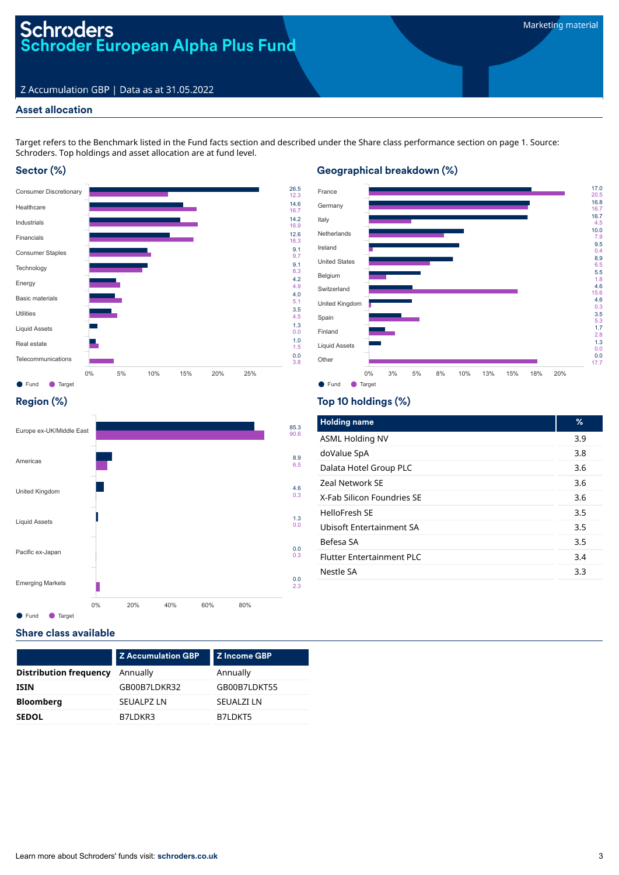# Schroders<br>Schroder European Alpha Plus Fund

# Z Accumulation GBP | Data as at 31.05.2022

# Asset allocation

Target refers to the Benchmark listed in the Fund facts section and described under the Share class performance section on page 1. Source: Schroders. Top holdings and asset allocation are at fund level.

> 9.1 9.7 9.1 8.3 4.2 4.9 4.0 5.1 3.5 4.5 1.3 0.0 1.0 1.5

3.8

# Sector (%)



# ● Fund ● Target France **Germany** Italy Netherlands Ireland United States Belgium Switzerland United Kingdom Spain Finland Liquid Assets Other 17.0 20.5 16.8 16.7 16.7 4.5
10.0
7.9
9.5
4.9
6.5
5.5
5.3
1.7
8
1.3
0.0
0.0
17.7
<br>  $\frac{9.5}{6.5}$ 5.5
5.6
4.6
0.3
5.5
3
1.7
2.8
1.3
0.0
0.0
17.7
<br>  $\frac{1}{2.8}$ 0% 3% 5% 8% 10% 13% 15% 18% 20%

# Region (%)



# Top 10 holdings (%)

Geographical breakdown (%)

| <b>Holding name</b>             | %   |
|---------------------------------|-----|
| <b>ASML Holding NV</b>          | 3.9 |
| doValue SpA                     | 3.8 |
| Dalata Hotel Group PLC          | 3.6 |
| <b>Zeal Network SF</b>          | 3.6 |
| X-Fab Silicon Foundries SF      | 3.6 |
| HelloFresh SF                   | 3.5 |
| <b>Ubisoft Entertainment SA</b> | 3.5 |
| Befesa SA                       | 3.5 |
| Flutter Entertainment PLC       | 3.4 |
| Nestle SA                       | 3.3 |
|                                 |     |

## Share class available

|                               | <b>Z Accumulation GBP</b> | <b>Z</b> Income GBP |
|-------------------------------|---------------------------|---------------------|
| <b>Distribution frequency</b> | Annually                  | Annually            |
| <b>ISIN</b>                   | GB00B7LDKR32              | GB00B7LDKT55        |
| <b>Bloomberg</b>              | <b>SEUALPZ LN</b>         | <b>SEUALZI LN</b>   |
| <b>SEDOL</b>                  | B7LDKR3                   | B7LDKT5             |